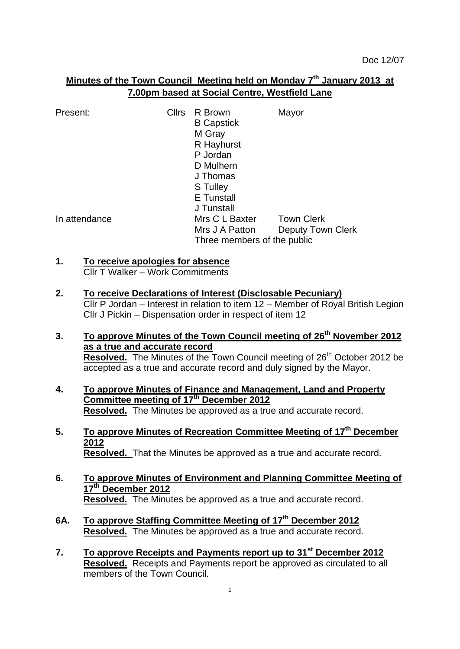# **Minutes of the Town Council Meeting held on Monday 7 th January 2013 at 7.00pm based at Social Centre, Westfield Lane**

| Present:      | <b>Cllrs</b> | R Brown<br><b>B</b> Capstick<br>M Gray<br>R Hayhurst<br>P Jordan<br>D Mulhern<br>J Thomas<br>S Tulley | Mayor                    |
|---------------|--------------|-------------------------------------------------------------------------------------------------------|--------------------------|
| In attendance |              | <b>E</b> Tunstall<br>J Tunstall<br>Mrs C L Baxter                                                     | <b>Town Clerk</b>        |
|               |              | Mrs J A Patton<br>Three members of the public                                                         | <b>Deputy Town Clerk</b> |

# **1. To receive apologies for absence**

Cllr T Walker – Work Commitments

- **2. To receive Declarations of Interest (Disclosable Pecuniary)** Cllr P Jordan – Interest in relation to item 12 – Member of Royal British Legion Cllr J Pickin – Dispensation order in respect of item 12
- **3. To approve Minutes of the Town Council meeting of 26th November 2012 as a true and accurate record Resolved.** The Minutes of the Town Council meeting of 26<sup>th</sup> October 2012 be accepted as a true and accurate record and duly signed by the Mayor.
- **4. To approve Minutes of Finance and Management, Land and Property Committee meeting of 17th December 2012 Resolved.** The Minutes be approved as a true and accurate record.
- **5. To approve Minutes of Recreation Committee Meeting of 17th December 2012 Resolved.** That the Minutes be approved as a true and accurate record.
- **6. To approve Minutes of Environment and Planning Committee Meeting of 17th December 2012 Resolved.** The Minutes be approved as a true and accurate record.
- **6A. To approve Staffing Committee Meeting of 17th December 2012 Resolved.** The Minutes be approved as a true and accurate record.
- **7. To approve Receipts and Payments report up to 31st December 2012 Resolved.** Receipts and Payments report be approved as circulated to all members of the Town Council.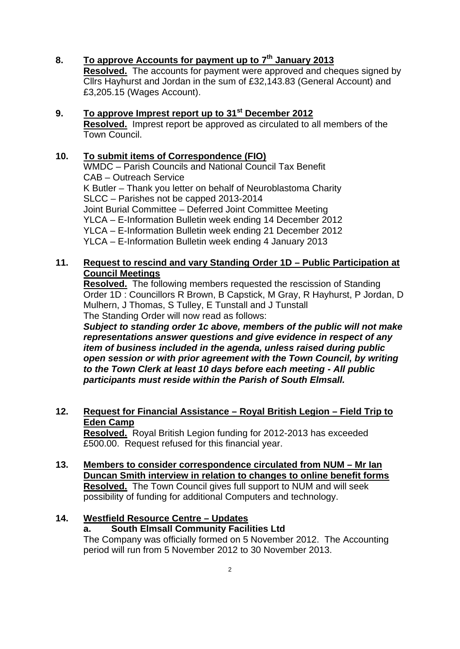- **8. To approve Accounts for payment up to 7 th January 2013 Resolved.** The accounts for payment were approved and cheques signed by Cllrs Hayhurst and Jordan in the sum of £32,143.83 (General Account) and £3,205.15 (Wages Account).
- **9. To approve Imprest report up to 31st December 2012 Resolved.** Imprest report be approved as circulated to all members of the Town Council.

### **10. To submit items of Correspondence (FIO)**

WMDC – Parish Councils and National Council Tax Benefit CAB – Outreach Service K Butler – Thank you letter on behalf of Neuroblastoma Charity SLCC – Parishes not be capped 2013-2014 Joint Burial Committee – Deferred Joint Committee Meeting YLCA – E-Information Bulletin week ending 14 December 2012 YLCA – E-Information Bulletin week ending 21 December 2012 YLCA – E-Information Bulletin week ending 4 January 2013

### **11. Request to rescind and vary Standing Order 1D – Public Participation at Council Meetings**

**Resolved.** The following members requested the rescission of Standing Order 1D : Councillors R Brown, B Capstick, M Gray, R Hayhurst, P Jordan, D Mulhern, J Thomas, S Tulley, E Tunstall and J Tunstall The Standing Order will now read as follows:

*Subject to standing order 1c above, members of the public will not make representations answer questions and give evidence in respect of any item of business included in the agenda, unless raised during public open session or with prior agreement with the Town Council, by writing to the Town Clerk at least 10 days before each meeting - All public participants must reside within the Parish of South Elmsall.*

### **12. Request for Financial Assistance – Royal British Legion – Field Trip to Eden Camp**

**Resolved.** Royal British Legion funding for 2012-2013 has exceeded £500.00. Request refused for this financial year.

**13. Members to consider correspondence circulated from NUM – Mr Ian Duncan Smith interview in relation to changes to online benefit forms Resolved.** The Town Council gives full support to NUM and will seek possibility of funding for additional Computers and technology.

### **14. Westfield Resource Centre – Updates**

### **a. South Elmsall Community Facilities Ltd**

The Company was officially formed on 5 November 2012. The Accounting period will run from 5 November 2012 to 30 November 2013.